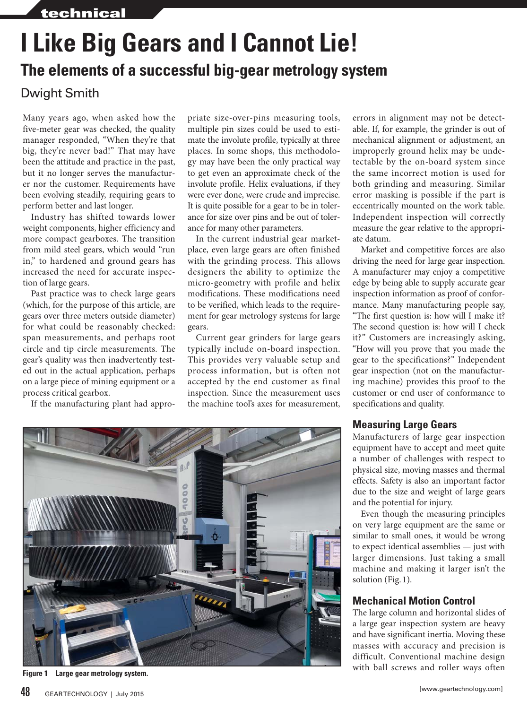## **I Like Big Gears and I Cannot Lie! The elements of a successful big-gear metrology system**

## Dwight Smith

Many years ago, when asked how the five-meter gear was checked, the quality manager responded, "When they're that big, they're never bad!" That may have been the attitude and practice in the past, but it no longer serves the manufacturer nor the customer. Requirements have been evolving steadily, requiring gears to perform better and last longer.

Industry has shifted towards lower weight components, higher efficiency and more compact gearboxes. The transition from mild steel gears, which would "run in," to hardened and ground gears has increased the need for accurate inspection of large gears.

Past practice was to check large gears (which, for the purpose of this article, are gears over three meters outside diameter) for what could be reasonably checked: span measurements, and perhaps root circle and tip circle measurements. The gear's quality was then inadvertently tested out in the actual application, perhaps on a large piece of mining equipment or a process critical gearbox.

If the manufacturing plant had appro-

priate size-over-pins measuring tools, multiple pin sizes could be used to estimate the involute profile, typically at three places. In some shops, this methodology may have been the only practical way to get even an approximate check of the involute profile. Helix evaluations, if they were ever done, were crude and imprecise. It is quite possible for a gear to be in tolerance for size over pins and be out of tolerance for many other parameters.

In the current industrial gear marketplace, even large gears are often finished with the grinding process. This allows designers the ability to optimize the micro-geometry with profile and helix modifications. These modifications need to be verified, which leads to the requirement for gear metrology systems for large gears.

Current gear grinders for large gears typically include on-board inspection. This provides very valuable setup and process information, but is often not accepted by the end customer as final inspection. Since the measurement uses the machine tool's axes for measurement, errors in alignment may not be detectable. If, for example, the grinder is out of mechanical alignment or adjustment, an improperly ground helix may be undetectable by the on-board system since the same incorrect motion is used for both grinding and measuring. Similar error masking is possible if the part is eccentrically mounted on the work table. Independent inspection will correctly measure the gear relative to the appropriate datum.

Market and competitive forces are also driving the need for large gear inspection. A manufacturer may enjoy a competitive edge by being able to supply accurate gear inspection information as proof of conformance. Many manufacturing people say, "The first question is: how will I make it? The second question is: how will I check it?" Customers are increasingly asking, "How will you prove that you made the gear to the specifications?" Independent gear inspection (not on the manufacturing machine) provides this proof to the customer or end user of conformance to specifications and quality.

## **Measuring Large Gears**

Manufacturers of large gear inspection equipment have to accept and meet quite a number of challenges with respect to physical size, moving masses and thermal effects. Safety is also an important factor due to the size and weight of large gears and the potential for injury.

Even though the measuring principles on very large equipment are the same or similar to small ones, it would be wrong to expect identical assemblies — just with larger dimensions. Just taking a small machine and making it larger isn't the solution (Fig. 1).

## **Mechanical Motion Control**

The large column and horizontal slides of a large gear inspection system are heavy and have significant inertia. Moving these masses with accuracy and precision is difficult. Conventional machine design with ball screws and roller ways often



**Figure 1 Large gear metrology system.**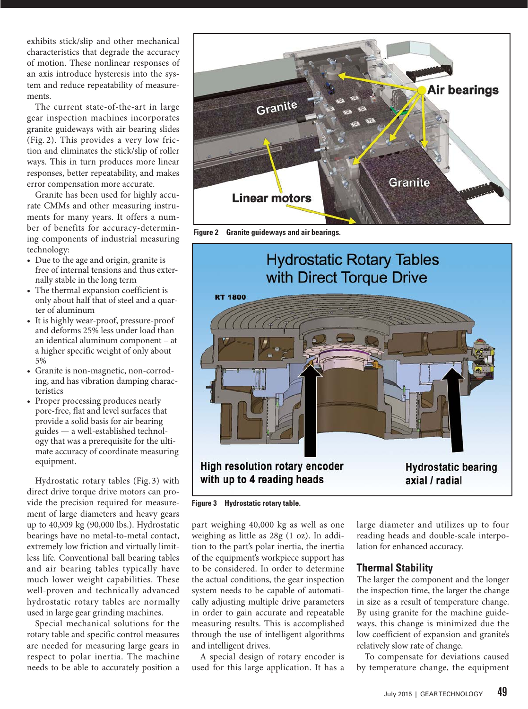exhibits stick/slip and other mechanical characteristics that degrade the accuracy of motion. These nonlinear responses of an axis introduce hysteresis into the system and reduce repeatability of measurements.

The current state-of-the-art in large gear inspection machines incorporates granite guideways with air bearing slides (Fig. 2). This provides a very low friction and eliminates the stick/slip of roller ways. This in turn produces more linear responses, better repeatability, and makes error compensation more accurate.

Granite has been used for highly accurate CMMs and other measuring instruments for many years. It offers a number of benefits for accuracy-determining components of industrial measuring technology:

- Due to the age and origin, granite is free of internal tensions and thus externally stable in the long term
- The thermal expansion coefficient is only about half that of steel and a quarter of aluminum
- It is highly wear-proof, pressure-proof and deforms 25% less under load than an identical aluminum component – at a higher specific weight of only about 5%
- Granite is non-magnetic, non-corroding, and has vibration damping characteristics
- Proper processing produces nearly pore-free, flat and level surfaces that provide a solid basis for air bearing guides — a well-established technology that was a prerequisite for the ultimate accuracy of coordinate measuring equipment.

Hydrostatic rotary tables (Fig. 3) with direct drive torque drive motors can provide the precision required for measurement of large diameters and heavy gears up to 40,909 kg (90,000 lbs.). Hydrostatic bearings have no metal-to-metal contact, extremely low friction and virtually limitless life. Conventional ball bearing tables and air bearing tables typically have much lower weight capabilities. These well-proven and technically advanced hydrostatic rotary tables are normally used in large gear grinding machines.

Special mechanical solutions for the rotary table and specific control measures are needed for measuring large gears in respect to polar inertia. The machine needs to be able to accurately position a



**Figure 2 Granite guideways and air bearings.**

# **Hydrostatic Rotary Tables** with Direct Torque Drive **RT 1800** High resolution rotary encoder **Hydrostatic bearing** with up to 4 reading heads axial / radial

**Figure 3 Hydrostatic rotary table.**

part weighing 40,000 kg as well as one weighing as little as 28g (1 oz). In addition to the part's polar inertia, the inertia of the equipment's workpiece support has to be considered. In order to determine the actual conditions, the gear inspection system needs to be capable of automatically adjusting multiple drive parameters in order to gain accurate and repeatable measuring results. This is accomplished through the use of intelligent algorithms and intelligent drives.

A special design of rotary encoder is used for this large application. It has a large diameter and utilizes up to four reading heads and double-scale interpolation for enhanced accuracy.

## **Thermal Stability**

The larger the component and the longer the inspection time, the larger the change in size as a result of temperature change. By using granite for the machine guideways, this change is minimized due the low coefficient of expansion and granite's relatively slow rate of change.

To compensate for deviations caused by temperature change, the equipment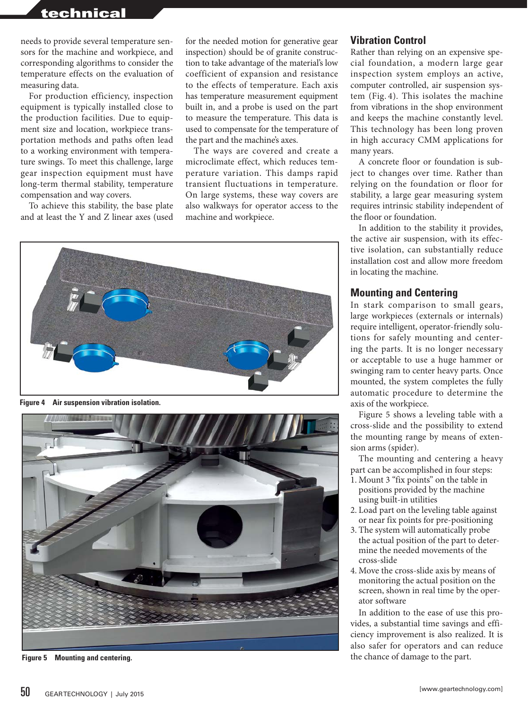## technical

needs to provide several temperature sensors for the machine and workpiece, and corresponding algorithms to consider the temperature effects on the evaluation of measuring data.

For production efficiency, inspection equipment is typically installed close to the production facilities. Due to equipment size and location, workpiece transportation methods and paths often lead to a working environment with temperature swings. To meet this challenge, large gear inspection equipment must have long-term thermal stability, temperature compensation and way covers.

To achieve this stability, the base plate and at least the Y and Z linear axes (used

for the needed motion for generative gear inspection) should be of granite construction to take advantage of the material's low coefficient of expansion and resistance to the effects of temperature. Each axis has temperature measurement equipment built in, and a probe is used on the part to measure the temperature. This data is used to compensate for the temperature of the part and the machine's axes.

The ways are covered and create a microclimate effect, which reduces temperature variation. This damps rapid transient fluctuations in temperature. On large systems, these way covers are also walkways for operator access to the machine and workpiece.



**Figure 4 Air suspension vibration isolation.**



**Figure 5 Mounting and centering.**

#### **Vibration Control**

Rather than relying on an expensive special foundation, a modern large gear inspection system employs an active, computer controlled, air suspension system (Fig. 4). This isolates the machine from vibrations in the shop environment and keeps the machine constantly level. This technology has been long proven in high accuracy CMM applications for many years.

A concrete floor or foundation is subject to changes over time. Rather than relying on the foundation or floor for stability, a large gear measuring system requires intrinsic stability independent of the floor or foundation.

In addition to the stability it provides, the active air suspension, with its effective isolation, can substantially reduce installation cost and allow more freedom in locating the machine.

#### **Mounting and Centering**

In stark comparison to small gears, large workpieces (externals or internals) require intelligent, operator-friendly solutions for safely mounting and centering the parts. It is no longer necessary or acceptable to use a huge hammer or swinging ram to center heavy parts. Once mounted, the system completes the fully automatic procedure to determine the axis of the workpiece.

Figure 5 shows a leveling table with a cross-slide and the possibility to extend the mounting range by means of extension arms (spider).

The mounting and centering a heavy part can be accomplished in four steps:

- 1. Mount 3 "fix points" on the table in positions provided by the machine using built-in utilities
- 2. Load part on the leveling table against or near fix points for pre-positioning
- 3. The system will automatically probe the actual position of the part to determine the needed movements of the cross-slide
- 4. Move the cross-slide axis by means of monitoring the actual position on the screen, shown in real time by the operator software

In addition to the ease of use this provides, a substantial time savings and efficiency improvement is also realized. It is also safer for operators and can reduce the chance of damage to the part.